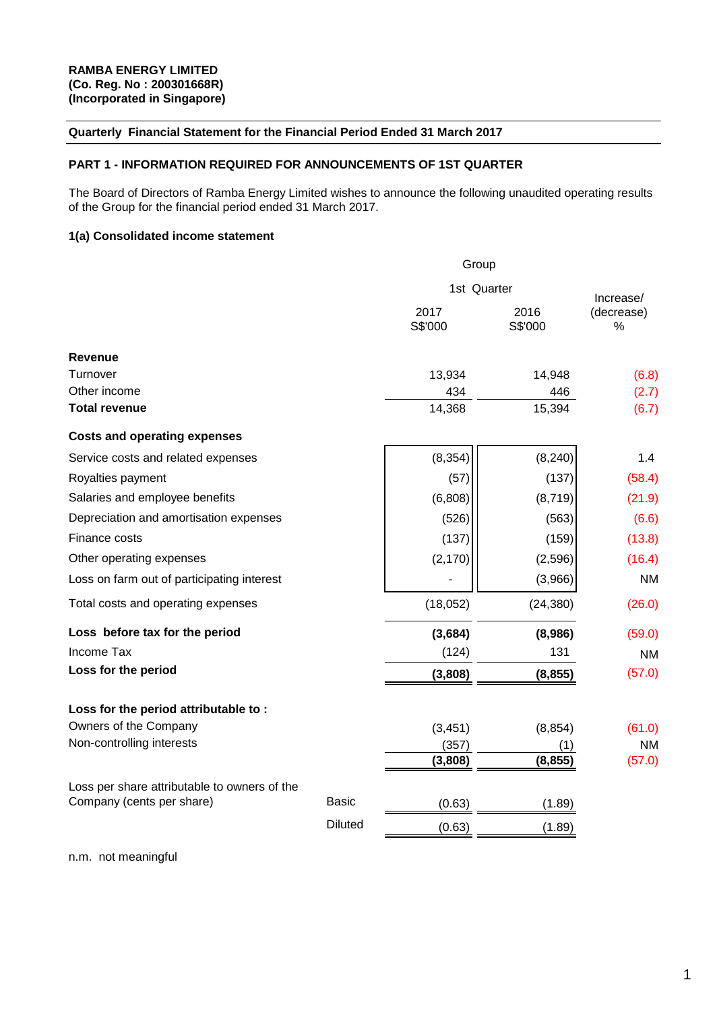### **Quarterly Financial Statement for the Financial Period Ended 31 March 2017**

### **PART 1 - INFORMATION REQUIRED FOR ANNOUNCEMENTS OF 1ST QUARTER**

The Board of Directors of Ramba Energy Limited wishes to announce the following unaudited operating results of the Group for the financial period ended 31 March 2017.

### **1(a) Consolidated income statement**

|                                              |                | Group           |                 |                                 |  |  |
|----------------------------------------------|----------------|-----------------|-----------------|---------------------------------|--|--|
|                                              |                | 1st Quarter     |                 |                                 |  |  |
|                                              |                | 2017<br>S\$'000 | 2016<br>S\$'000 | Increase/<br>(decrease)<br>$\%$ |  |  |
| <b>Revenue</b>                               |                |                 |                 |                                 |  |  |
| Turnover                                     |                | 13,934          | 14,948          | (6.8)                           |  |  |
| Other income                                 |                | 434             | 446             | (2.7)                           |  |  |
| <b>Total revenue</b>                         |                | 14,368          | 15,394          | (6.7)                           |  |  |
| <b>Costs and operating expenses</b>          |                |                 |                 |                                 |  |  |
| Service costs and related expenses           |                | (8, 354)        | (8, 240)        | 1.4                             |  |  |
| Royalties payment                            |                | (57)            | (137)           | (58.4)                          |  |  |
| Salaries and employee benefits               |                | (6,808)         | (8, 719)        | (21.9)                          |  |  |
| Depreciation and amortisation expenses       |                | (526)           | (563)           | (6.6)                           |  |  |
| Finance costs                                |                | (137)           | (159)           | (13.8)                          |  |  |
| Other operating expenses                     |                | (2, 170)        | (2,596)         | (16.4)                          |  |  |
| Loss on farm out of participating interest   |                |                 | (3,966)         | <b>NM</b>                       |  |  |
| Total costs and operating expenses           |                | (18,052)        | (24, 380)       | (26.0)                          |  |  |
| Loss before tax for the period               |                | (3,684)         | (8,986)         | (59.0)                          |  |  |
| Income Tax                                   |                | (124)           | 131             | <b>NM</b>                       |  |  |
| Loss for the period                          |                | (3,808)         | (8, 855)        | (57.0)                          |  |  |
| Loss for the period attributable to:         |                |                 |                 |                                 |  |  |
| Owners of the Company                        |                | (3, 451)        | (8, 854)        | (61.0)                          |  |  |
| Non-controlling interests                    |                | (357)           | (1)             | <b>NM</b>                       |  |  |
|                                              |                | (3,808)         | (8, 855)        | (57.0)                          |  |  |
| Loss per share attributable to owners of the |                |                 |                 |                                 |  |  |
| Company (cents per share)                    | Basic          | (0.63)          | (1.89)          |                                 |  |  |
|                                              | <b>Diluted</b> | (0.63)          | (1.89)          |                                 |  |  |

n.m. not meaningful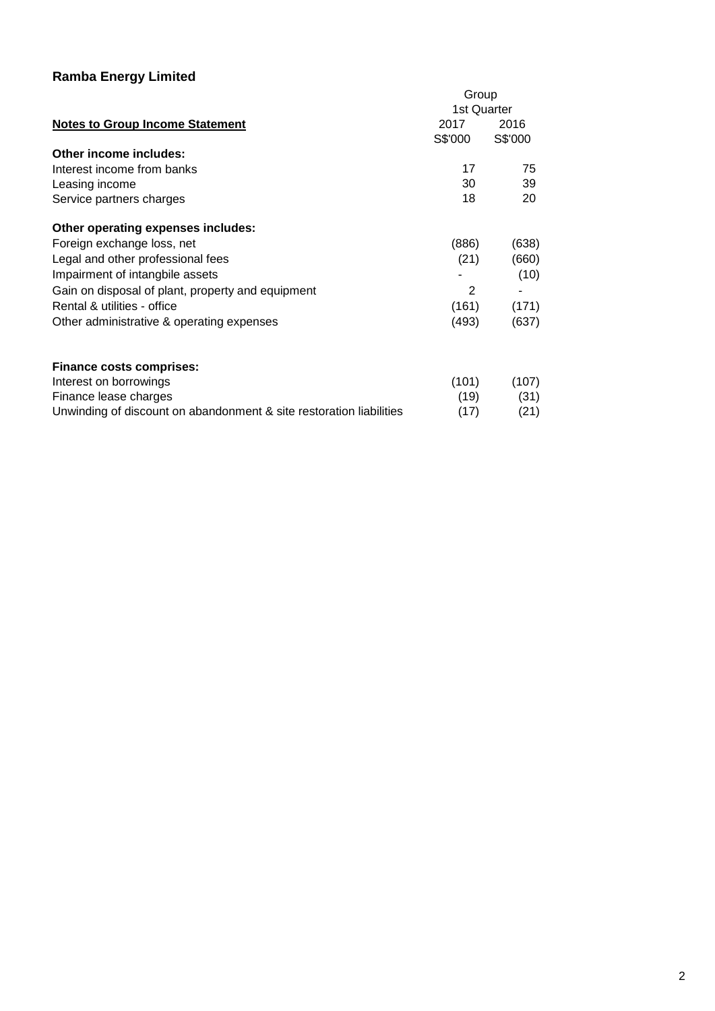|                                                                     | Group<br>1st Quarter |         |
|---------------------------------------------------------------------|----------------------|---------|
| <b>Notes to Group Income Statement</b>                              | 2017                 | 2016    |
| Other income includes:                                              | S\$'000              | S\$'000 |
| Interest income from banks                                          | 17                   | 75      |
| Leasing income                                                      | 30                   | 39      |
| Service partners charges                                            | 18                   | 20      |
| Other operating expenses includes:                                  |                      |         |
| Foreign exchange loss, net                                          | (886)                | (638)   |
| Legal and other professional fees                                   | (21)                 | (660)   |
| Impairment of intangbile assets                                     |                      | (10)    |
| Gain on disposal of plant, property and equipment                   | 2                    |         |
| Rental & utilities - office                                         | (161)                | (171)   |
| Other administrative & operating expenses                           | (493)                | (637)   |
| <b>Finance costs comprises:</b>                                     |                      |         |
| Interest on borrowings                                              | (101)                | (107)   |
| Finance lease charges                                               | (19)                 | (31)    |
| Unwinding of discount on abandonment & site restoration liabilities | (17)                 | (21)    |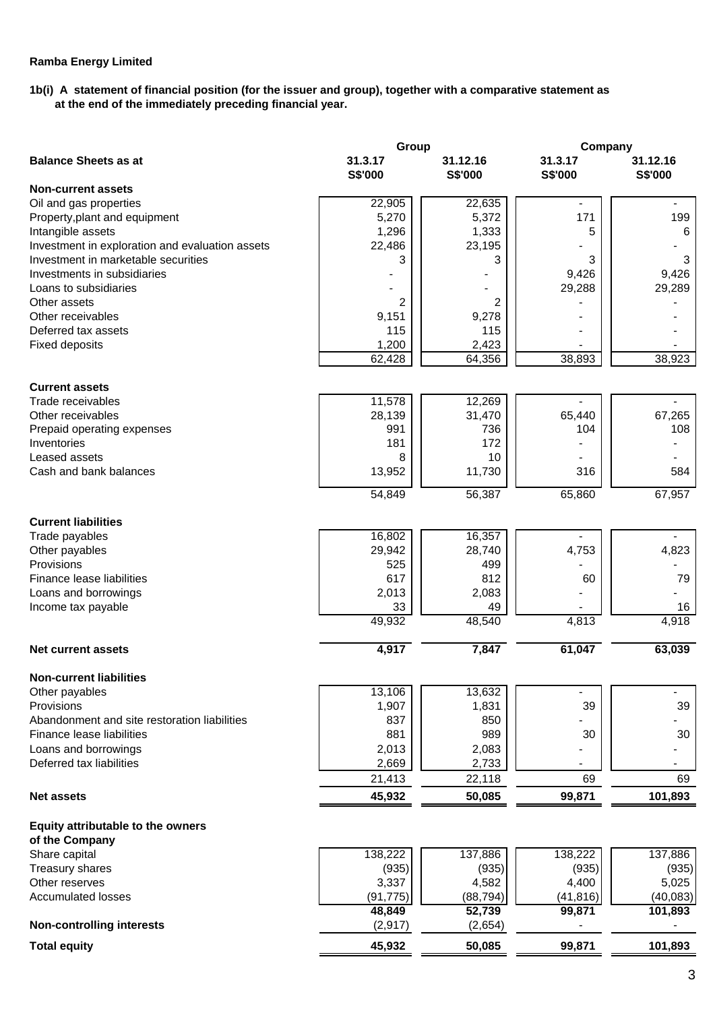### **1b(i) A statement of financial position (for the issuer and group), together with a comparative statement as at the end of the immediately preceding financial year.**

|                                                 | Group          |           | Company                      |                          |
|-------------------------------------------------|----------------|-----------|------------------------------|--------------------------|
| <b>Balance Sheets as at</b>                     | 31.3.17        | 31.12.16  | 31.3.17                      | 31.12.16                 |
|                                                 | <b>S\$'000</b> | S\$'000   | S\$'000                      | S\$'000                  |
| <b>Non-current assets</b>                       |                |           |                              |                          |
| Oil and gas properties                          | 22,905         | 22,635    |                              |                          |
| Property, plant and equipment                   | 5,270          | 5,372     | 171                          | 199                      |
| Intangible assets                               | 1,296          | 1,333     | 5                            | 6                        |
| Investment in exploration and evaluation assets | 22,486         | 23,195    |                              |                          |
| Investment in marketable securities             | 3              | 3         | 3                            | 3                        |
| Investments in subsidiaries                     |                |           | 9,426                        | 9,426                    |
| Loans to subsidiaries                           |                |           | 29,288                       | 29,289                   |
|                                                 |                |           |                              |                          |
| Other assets                                    | $\overline{2}$ | 2         |                              |                          |
| Other receivables                               | 9,151          | 9,278     |                              |                          |
| Deferred tax assets                             | 115            | 115       |                              |                          |
| <b>Fixed deposits</b>                           | 1,200          | 2,423     |                              |                          |
|                                                 | 62,428         | 64,356    | 38,893                       | 38,923                   |
|                                                 |                |           |                              |                          |
| <b>Current assets</b>                           |                |           |                              |                          |
| Trade receivables                               | 11,578         | 12,269    |                              |                          |
| Other receivables                               | 28,139         | 31,470    | 65,440                       | 67,265                   |
| Prepaid operating expenses                      | 991            | 736       | 104                          | 108                      |
| Inventories                                     | 181            | 172       |                              |                          |
| Leased assets                                   | 8              | 10        |                              |                          |
| Cash and bank balances                          | 13,952         | 11,730    | 316                          | 584                      |
|                                                 |                |           |                              |                          |
|                                                 | 54,849         | 56,387    | 65,860                       | 67,957                   |
|                                                 |                |           |                              |                          |
| <b>Current liabilities</b>                      |                |           |                              |                          |
| Trade payables                                  | 16,802         | 16,357    |                              |                          |
| Other payables                                  | 29,942         | 28,740    | 4,753                        | 4,823                    |
| Provisions                                      | 525            | 499       |                              |                          |
| Finance lease liabilities                       | 617            | 812       | 60                           | 79                       |
| Loans and borrowings                            | 2,013          | 2,083     |                              |                          |
| Income tax payable                              | 33             | 49        |                              | 16                       |
|                                                 | 49,932         | 48,540    | 4,813                        | 4,918                    |
|                                                 |                |           |                              |                          |
| <b>Net current assets</b>                       | 4,917          | 7,847     | 61,047                       | 63,039                   |
| <b>Non-current liabilities</b>                  |                |           |                              |                          |
| Other payables                                  | 13,106         | 13,632    | $\qquad \qquad \blacksquare$ | $\overline{\phantom{0}}$ |
| Provisions                                      | 1,907          | 1,831     | 39                           | 39                       |
| Abandonment and site restoration liabilities    | 837            | 850       |                              |                          |
|                                                 | 881            | 989       |                              |                          |
| Finance lease liabilities                       |                |           | 30                           | 30                       |
| Loans and borrowings                            | 2,013          | 2,083     |                              |                          |
| Deferred tax liabilities                        | 2,669          | 2,733     |                              |                          |
|                                                 | 21,413         | 22,118    | 69                           | 69                       |
| <b>Net assets</b>                               | 45,932         | 50,085    | 99,871                       | 101,893                  |
|                                                 |                |           |                              |                          |
| <b>Equity attributable to the owners</b>        |                |           |                              |                          |
| of the Company                                  |                |           |                              |                          |
| Share capital                                   | 138,222        | 137,886   | 138,222                      | 137,886                  |
| Treasury shares                                 | (935)          | (935)     | (935)                        | (935)                    |
| Other reserves                                  | 3,337          | 4,582     | 4,400                        | 5,025                    |
| <b>Accumulated losses</b>                       | (91, 775)      | (88, 794) | (41, 816)                    | (40, 083)                |
|                                                 | 48,849         | 52,739    | 99,871                       | 101,893                  |
| <b>Non-controlling interests</b>                | (2, 917)       | (2,654)   |                              |                          |
| <b>Total equity</b>                             | 45,932         | 50,085    | 99,871                       | 101,893                  |
|                                                 |                |           |                              |                          |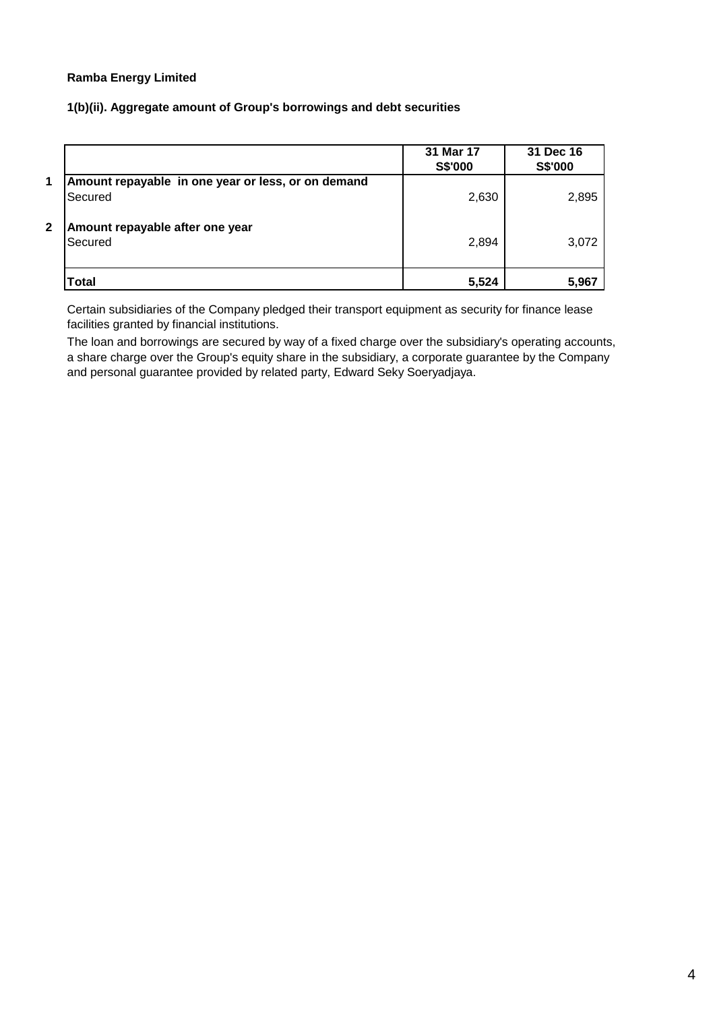### **1(b)(ii). Aggregate amount of Group's borrowings and debt securities**

|              |                                                               | 31 Mar 17<br>S\$'000 | 31 Dec 16<br>S\$'000 |
|--------------|---------------------------------------------------------------|----------------------|----------------------|
| $\mathbf{1}$ | Amount repayable in one year or less, or on demand<br>Secured | 2,630                | 2,895                |
| $\mathbf{2}$ | Amount repayable after one year<br>Secured                    | 2,894                | 3,072                |
|              | <b>Total</b>                                                  | 5,524                | 5,967                |

Certain subsidiaries of the Company pledged their transport equipment as security for finance lease facilities granted by financial institutions.

The loan and borrowings are secured by way of a fixed charge over the subsidiary's operating accounts, a share charge over the Group's equity share in the subsidiary, a corporate guarantee by the Company and personal guarantee provided by related party, Edward Seky Soeryadjaya.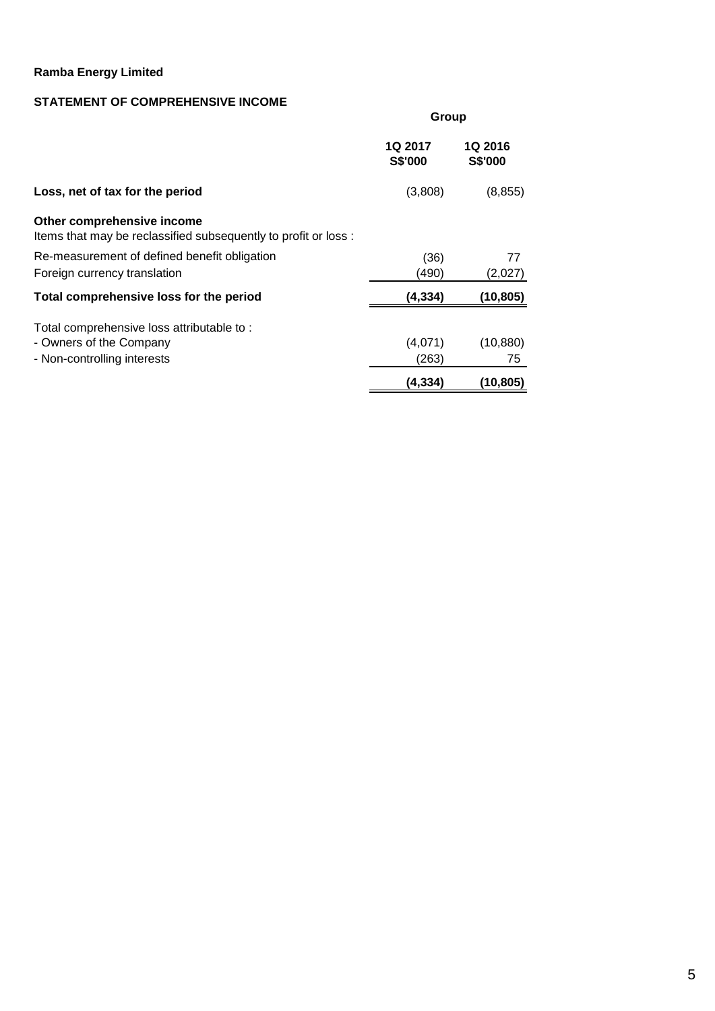## **STATEMENT OF COMPREHENSIVE INCOME**

|                                                                                                     | Group                     |                           |  |  |
|-----------------------------------------------------------------------------------------------------|---------------------------|---------------------------|--|--|
|                                                                                                     | <b>1Q 2017</b><br>S\$'000 | <b>1Q 2016</b><br>S\$'000 |  |  |
| Loss, net of tax for the period                                                                     | (3,808)                   | (8, 855)                  |  |  |
| Other comprehensive income<br>Items that may be reclassified subsequently to profit or loss :       |                           |                           |  |  |
| Re-measurement of defined benefit obligation<br>Foreign currency translation                        | (36)<br>(490)             | 77<br>(2,027)             |  |  |
| Total comprehensive loss for the period                                                             | (4, 334)                  | (10,805)                  |  |  |
| Total comprehensive loss attributable to:<br>- Owners of the Company<br>- Non-controlling interests | (4,071)<br>(263)          | (10, 880)<br>75           |  |  |
|                                                                                                     | (4, 334)                  | (10, 805)                 |  |  |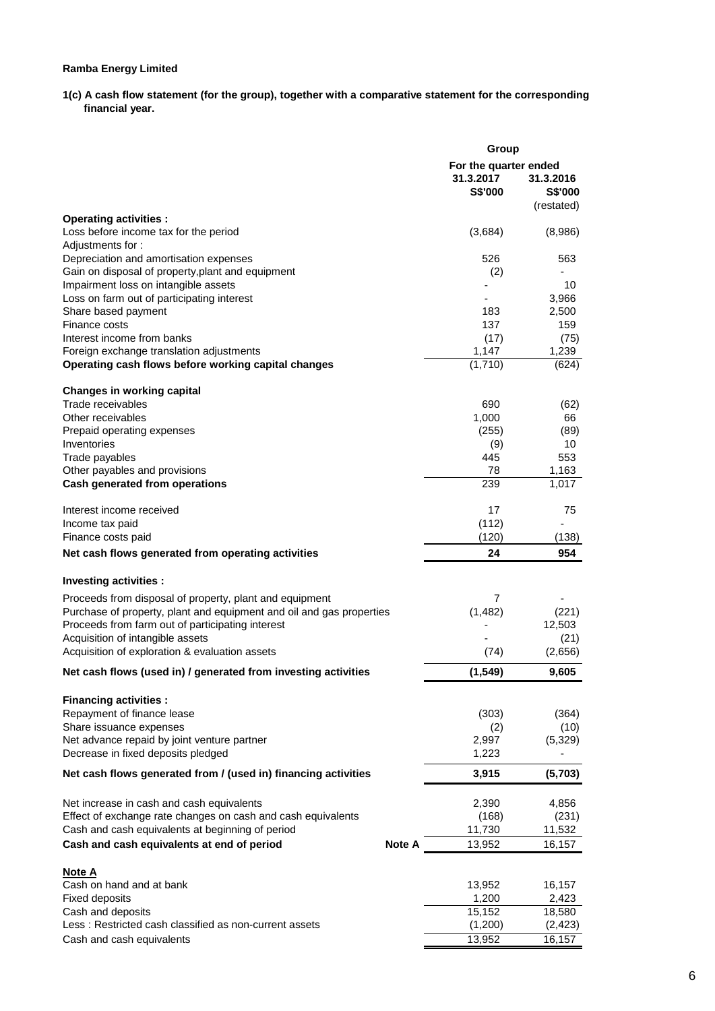1(c) A cash flow statement (for the group), together with a comparative statement for the corresponding  **financial year.** 

|                                                                                    | Group                                         |                                           |  |  |
|------------------------------------------------------------------------------------|-----------------------------------------------|-------------------------------------------|--|--|
|                                                                                    | For the quarter ended<br>31.3.2017<br>S\$'000 | 31.3.2016<br><b>S\$'000</b><br>(restated) |  |  |
| <b>Operating activities:</b>                                                       |                                               |                                           |  |  |
| Loss before income tax for the period<br>Adjustments for:                          | (3,684)                                       | (8,986)                                   |  |  |
| Depreciation and amortisation expenses                                             | 526                                           | 563                                       |  |  |
| Gain on disposal of property, plant and equipment                                  | (2)                                           |                                           |  |  |
| Impairment loss on intangible assets                                               |                                               | 10                                        |  |  |
| Loss on farm out of participating interest                                         |                                               | 3,966                                     |  |  |
| Share based payment                                                                | 183                                           | 2,500                                     |  |  |
| Finance costs<br>Interest income from banks                                        | 137<br>(17)                                   | 159<br>(75)                               |  |  |
| Foreign exchange translation adjustments                                           | 1,147                                         | 1,239                                     |  |  |
| Operating cash flows before working capital changes                                | (1,710)                                       | (624)                                     |  |  |
| <b>Changes in working capital</b>                                                  |                                               |                                           |  |  |
| Trade receivables                                                                  | 690                                           | (62)                                      |  |  |
| Other receivables                                                                  | 1,000                                         | 66                                        |  |  |
| Prepaid operating expenses                                                         | (255)                                         | (89)                                      |  |  |
| Inventories<br>Trade payables                                                      | (9)<br>445                                    | 10<br>553                                 |  |  |
| Other payables and provisions                                                      | 78                                            | 1,163                                     |  |  |
| Cash generated from operations                                                     | 239                                           | 1,017                                     |  |  |
| Interest income received                                                           | 17                                            | 75                                        |  |  |
| Income tax paid                                                                    | (112)                                         |                                           |  |  |
| Finance costs paid                                                                 | (120)                                         | (138)                                     |  |  |
| Net cash flows generated from operating activities                                 | 24                                            | 954                                       |  |  |
| Investing activities :                                                             |                                               |                                           |  |  |
| Proceeds from disposal of property, plant and equipment                            | 7                                             |                                           |  |  |
| Purchase of property, plant and equipment and oil and gas properties               | (1, 482)                                      | (221)                                     |  |  |
| Proceeds from farm out of participating interest                                   |                                               | 12,503                                    |  |  |
| Acquisition of intangible assets<br>Acquisition of exploration & evaluation assets | (74)                                          | (21)<br>(2,656)                           |  |  |
| Net cash flows (used in) / generated from investing activities                     | (1,549)                                       | 9,605                                     |  |  |
|                                                                                    |                                               |                                           |  |  |
| <b>Financing activities:</b>                                                       |                                               |                                           |  |  |
| Repayment of finance lease                                                         | (303)                                         | (364)                                     |  |  |
| Share issuance expenses<br>Net advance repaid by joint venture partner             | (2)<br>2,997                                  | (10)<br>(5,329)                           |  |  |
| Decrease in fixed deposits pledged                                                 | 1,223                                         |                                           |  |  |
| Net cash flows generated from / (used in) financing activities                     | 3,915                                         | (5,703)                                   |  |  |
| Net increase in cash and cash equivalents                                          | 2,390                                         | 4,856                                     |  |  |
| Effect of exchange rate changes on cash and cash equivalents                       | (168)                                         | (231)                                     |  |  |
| Cash and cash equivalents at beginning of period                                   | 11,730                                        | 11,532                                    |  |  |
| Cash and cash equivalents at end of period<br><b>Note A</b>                        | 13,952                                        | 16,157                                    |  |  |
| Note A                                                                             |                                               |                                           |  |  |
| Cash on hand and at bank                                                           | 13,952                                        | 16,157                                    |  |  |
| <b>Fixed deposits</b>                                                              | 1,200                                         | 2,423                                     |  |  |
| Cash and deposits<br>Less: Restricted cash classified as non-current assets        | 15,152<br>(1,200)                             | 18,580<br>(2, 423)                        |  |  |
| Cash and cash equivalents                                                          | 13,952                                        | 16,157                                    |  |  |
|                                                                                    |                                               |                                           |  |  |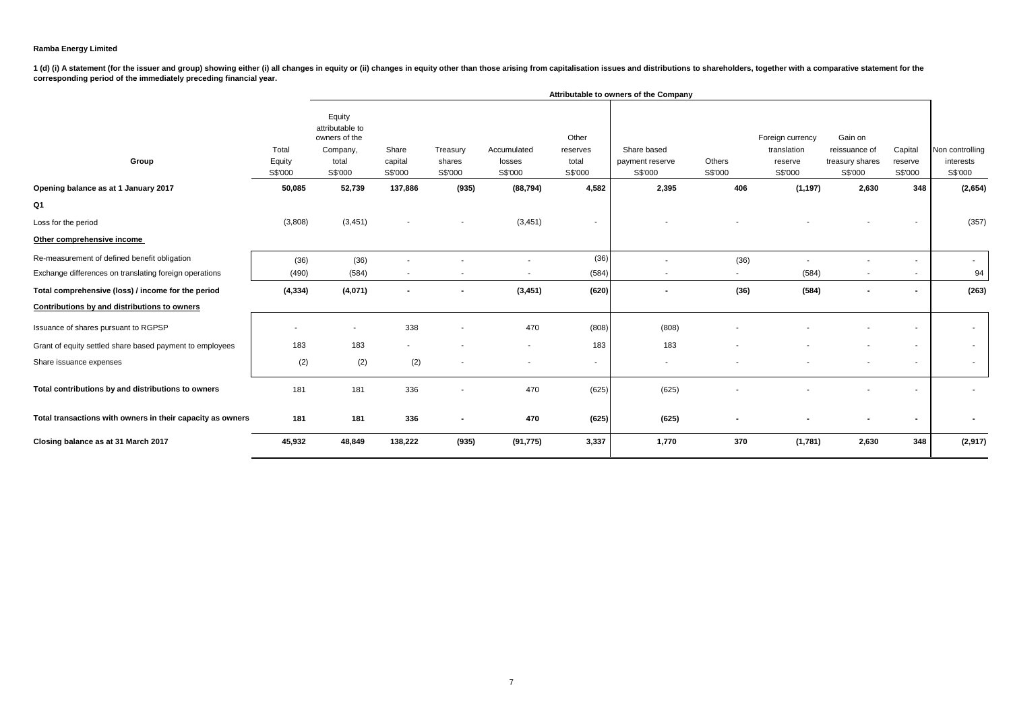1 (d) (i) A statement (for the issuer and group) showing either (i) all changes in equity or (ii) changes in equity other than those arising from capitalisation issues and distributions to shareholders, together with a com **corresponding period of the immediately preceding financial year.**

|                                                            |                            | Attributable to owners of the Company                                      |                             |                               |                                  |                                       |                                           |                          |                                                       |                                                        |                               |                                         |
|------------------------------------------------------------|----------------------------|----------------------------------------------------------------------------|-----------------------------|-------------------------------|----------------------------------|---------------------------------------|-------------------------------------------|--------------------------|-------------------------------------------------------|--------------------------------------------------------|-------------------------------|-----------------------------------------|
| Group                                                      | Total<br>Equity<br>S\$'000 | Equity<br>attributable to<br>owners of the<br>Company,<br>total<br>S\$'000 | Share<br>capital<br>S\$'000 | Treasury<br>shares<br>S\$'000 | Accumulated<br>losses<br>S\$'000 | Other<br>reserves<br>total<br>S\$'000 | Share based<br>payment reserve<br>S\$'000 | Others<br>S\$'000        | Foreign currency<br>translation<br>reserve<br>S\$'000 | Gain on<br>reissuance of<br>treasury shares<br>S\$'000 | Capital<br>reserve<br>S\$'000 | Non controlling<br>interests<br>S\$'000 |
| Opening balance as at 1 January 2017                       | 50,085                     | 52,739                                                                     | 137,886                     | (935)                         | (88, 794)                        | 4,582                                 | 2,395                                     | 406                      | (1, 197)                                              | 2,630                                                  | 348                           | (2,654)                                 |
| Q1                                                         |                            |                                                                            |                             |                               |                                  |                                       |                                           |                          |                                                       |                                                        |                               |                                         |
| Loss for the period                                        | (3,808)                    | (3, 451)                                                                   |                             | $\overline{\phantom{a}}$      | (3, 451)                         |                                       |                                           |                          |                                                       |                                                        |                               | (357)                                   |
| Other comprehensive income                                 |                            |                                                                            |                             |                               |                                  |                                       |                                           |                          |                                                       |                                                        |                               |                                         |
| Re-measurement of defined benefit obligation               | (36)                       | (36)                                                                       |                             |                               |                                  | (36)                                  |                                           | (36)                     |                                                       |                                                        | $\overline{\phantom{a}}$      | $\sim$                                  |
| Exchange differences on translating foreign operations     | (490)                      | (584)                                                                      | $\overline{\phantom{a}}$    |                               |                                  | (584)                                 |                                           | $\overline{\phantom{a}}$ | (584)                                                 | $\overline{\phantom{a}}$                               | $\overline{\phantom{a}}$      | 94                                      |
| Total comprehensive (loss) / income for the period         | (4, 334)                   | (4,071)                                                                    | $\blacksquare$              | $\blacksquare$                | (3, 451)                         | (620)                                 |                                           | (36)                     | (584)                                                 | $\sim$                                                 | $\blacksquare$                | (263)                                   |
| Contributions by and distributions to owners               |                            |                                                                            |                             |                               |                                  |                                       |                                           |                          |                                                       |                                                        |                               |                                         |
| Issuance of shares pursuant to RGPSP                       |                            | $\overline{\phantom{a}}$                                                   | 338                         |                               | 470                              | (808)                                 | (808)                                     |                          |                                                       |                                                        | $\overline{\phantom{a}}$      | $\sim$                                  |
| Grant of equity settled share based payment to employees   | 183                        | 183                                                                        |                             |                               | $\overline{\phantom{a}}$         | 183                                   | 183                                       |                          |                                                       |                                                        | $\overline{\phantom{a}}$      | $\sim$                                  |
| Share issuance expenses                                    | (2)                        | (2)                                                                        | (2)                         |                               |                                  | $\sim$                                |                                           |                          |                                                       | $\overline{\phantom{a}}$                               | $\overline{\phantom{a}}$      | $\sim$                                  |
| Total contributions by and distributions to owners         | 181                        | 181                                                                        | 336                         |                               | 470                              | (625)                                 | (625)                                     |                          |                                                       |                                                        |                               |                                         |
| Total transactions with owners in their capacity as owners | 181                        | 181                                                                        | 336                         | $\blacksquare$                | 470                              | (625)                                 | (625)                                     |                          |                                                       | ٠                                                      | $\blacksquare$                |                                         |
| Closing balance as at 31 March 2017                        | 45,932                     | 48,849                                                                     | 138,222                     | (935)                         | (91, 775)                        | 3,337                                 | 1,770                                     | 370                      | (1,781)                                               | 2,630                                                  | 348                           | (2,917)                                 |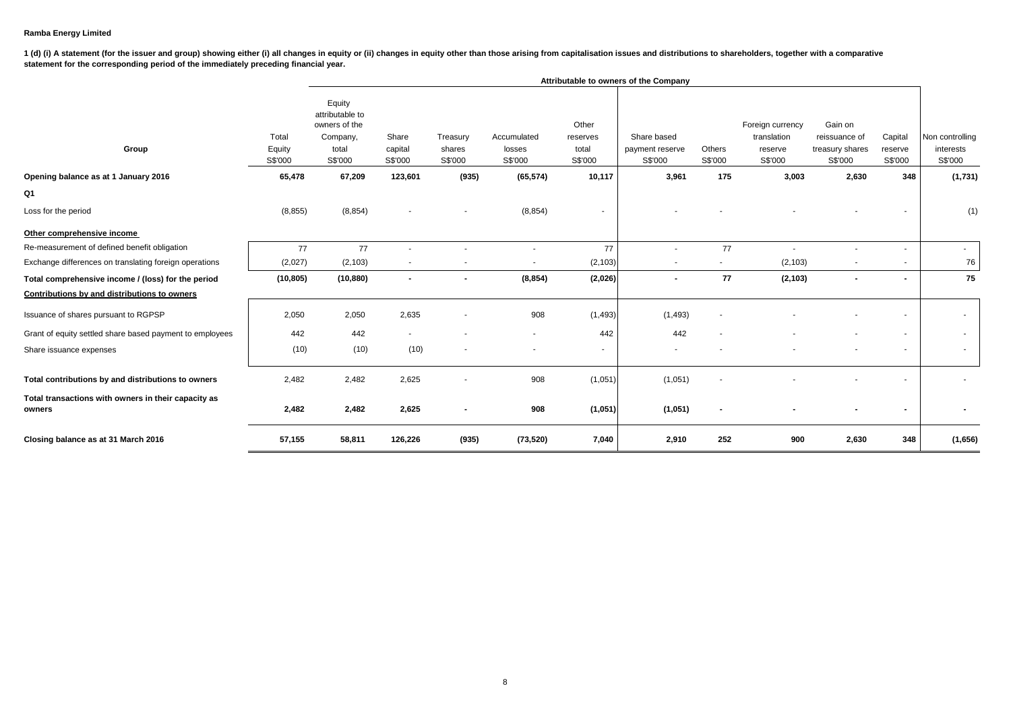1 (d) (i) A statement (for the issuer and group) showing either (i) all changes in equity or (ii) changes in equity other than those arising from capitalisation issues and distributions to shareholders, together with a com **statement for the corresponding period of the immediately preceding financial year.**

|                                                               |                            | Attributable to owners of the Company                                      |                             |                               |                                  |                                       |                                           |                   |                                                       |                                                        |                               |                                         |
|---------------------------------------------------------------|----------------------------|----------------------------------------------------------------------------|-----------------------------|-------------------------------|----------------------------------|---------------------------------------|-------------------------------------------|-------------------|-------------------------------------------------------|--------------------------------------------------------|-------------------------------|-----------------------------------------|
| Group                                                         | Total<br>Equity<br>S\$'000 | Equity<br>attributable to<br>owners of the<br>Company,<br>total<br>S\$'000 | Share<br>capital<br>S\$'000 | Treasury<br>shares<br>S\$'000 | Accumulated<br>losses<br>S\$'000 | Other<br>reserves<br>total<br>S\$'000 | Share based<br>payment reserve<br>S\$'000 | Others<br>S\$'000 | Foreign currency<br>translation<br>reserve<br>S\$'000 | Gain on<br>reissuance of<br>treasury shares<br>S\$'000 | Capital<br>reserve<br>S\$'000 | Non controlling<br>interests<br>S\$'000 |
| Opening balance as at 1 January 2016                          | 65,478                     | 67,209                                                                     | 123,601                     | (935)                         | (65, 574)                        | 10,117                                | 3,961                                     | 175               | 3,003                                                 | 2,630                                                  | 348                           | (1,731)                                 |
| Q1                                                            |                            |                                                                            |                             |                               |                                  |                                       |                                           |                   |                                                       |                                                        |                               |                                         |
| Loss for the period                                           | (8, 855)                   | (8, 854)                                                                   |                             |                               | (8, 854)                         |                                       |                                           |                   |                                                       |                                                        |                               | (1)                                     |
| Other comprehensive income                                    |                            |                                                                            |                             |                               |                                  |                                       |                                           |                   |                                                       |                                                        |                               |                                         |
| Re-measurement of defined benefit obligation                  | 77                         | 77                                                                         | $\overline{\phantom{a}}$    |                               | $\overline{\phantom{m}}$         | 77                                    |                                           | 77                | $\sim$                                                |                                                        |                               | $\sim$                                  |
| Exchange differences on translating foreign operations        | (2,027)                    | (2, 103)                                                                   |                             |                               |                                  | (2, 103)                              |                                           |                   | (2, 103)                                              |                                                        |                               | 76                                      |
| Total comprehensive income / (loss) for the period            | (10, 805)                  | (10, 880)                                                                  | $\blacksquare$              |                               | (8, 854)                         | (2,026)                               |                                           | 77                | (2, 103)                                              |                                                        | ۰.                            | 75                                      |
| Contributions by and distributions to owners                  |                            |                                                                            |                             |                               |                                  |                                       |                                           |                   |                                                       |                                                        |                               |                                         |
| Issuance of shares pursuant to RGPSP                          | 2,050                      | 2,050                                                                      | 2,635                       |                               | 908                              | (1, 493)                              | (1, 493)                                  |                   |                                                       |                                                        |                               |                                         |
| Grant of equity settled share based payment to employees      | 442                        | 442                                                                        | ٠                           |                               | ٠                                | 442                                   | 442                                       |                   |                                                       |                                                        |                               | $\sim$                                  |
| Share issuance expenses                                       | (10)                       | (10)                                                                       | (10)                        | $\sim$                        | $\blacksquare$                   | $\sim$                                | $\sim$                                    |                   |                                                       |                                                        | $\overline{\phantom{a}}$      | $\sim$                                  |
| Total contributions by and distributions to owners            | 2,482                      | 2,482                                                                      | 2,625                       |                               | 908                              | (1,051)                               | (1,051)                                   |                   |                                                       |                                                        |                               |                                         |
| Total transactions with owners in their capacity as<br>owners | 2,482                      | 2,482                                                                      | 2,625                       | $\blacksquare$                | 908                              | (1,051)                               | (1,051)                                   | $\blacksquare$    |                                                       |                                                        |                               |                                         |
| Closing balance as at 31 March 2016                           | 57,155                     | 58,811                                                                     | 126,226                     | (935)                         | (73, 520)                        | 7,040                                 | 2,910                                     | 252               | 900                                                   | 2,630                                                  | 348                           | (1,656)                                 |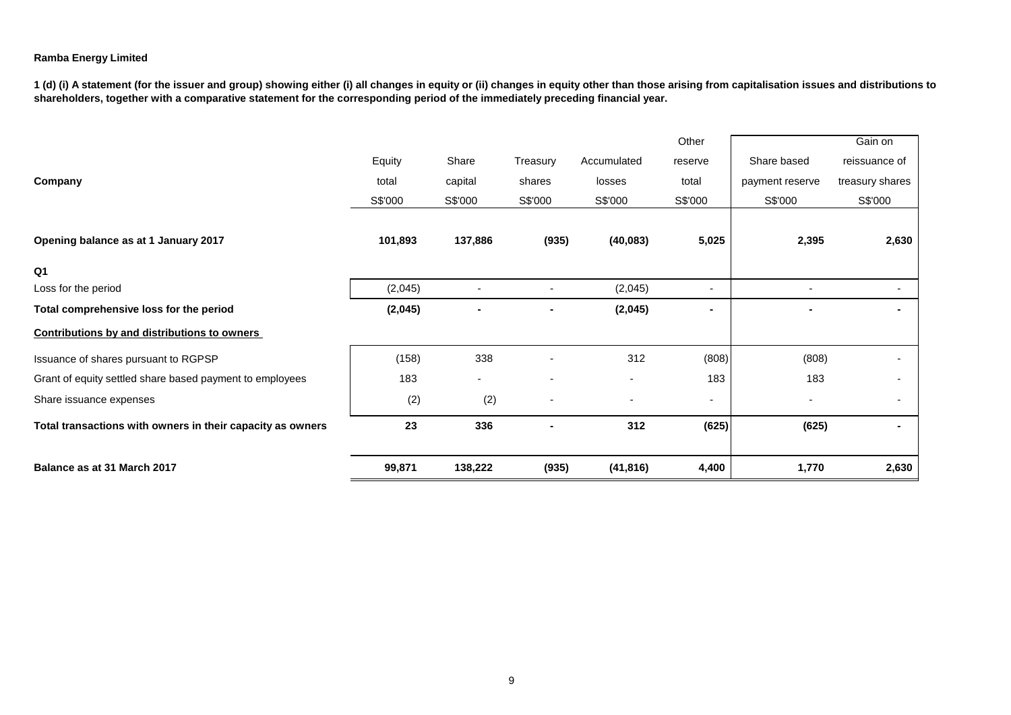**1 (d) (i) A statement (for the issuer and group) showing either (i) all changes in equity or (ii) changes in equity other than those arising from capitalisation issues and distributions to shareholders, together with a comparative statement for the corresponding period of the immediately preceding financial year.**

|                                                            |         |         |                |                          | Other                    |                 | Gain on         |
|------------------------------------------------------------|---------|---------|----------------|--------------------------|--------------------------|-----------------|-----------------|
|                                                            | Equity  | Share   | Treasury       | Accumulated              | reserve                  | Share based     | reissuance of   |
| Company                                                    | total   | capital | shares         | losses                   | total                    | payment reserve | treasury shares |
|                                                            | S\$'000 | S\$'000 | S\$'000        | S\$'000                  | S\$'000                  | S\$'000         | S\$'000         |
|                                                            |         |         |                |                          |                          |                 |                 |
| Opening balance as at 1 January 2017                       | 101,893 | 137,886 | (935)          | (40, 083)                | 5,025                    | 2,395           | 2,630           |
| Q <sub>1</sub>                                             |         |         |                |                          |                          |                 |                 |
| Loss for the period                                        | (2,045) |         |                | (2,045)                  | $\overline{\phantom{a}}$ |                 |                 |
| Total comprehensive loss for the period                    | (2,045) |         |                | (2,045)                  | $\blacksquare$           |                 |                 |
| Contributions by and distributions to owners               |         |         |                |                          |                          |                 |                 |
| Issuance of shares pursuant to RGPSP                       | (158)   | 338     |                | 312                      | (808)                    | (808)           |                 |
| Grant of equity settled share based payment to employees   | 183     |         | $\blacksquare$ | $\overline{\phantom{a}}$ | 183                      | 183             |                 |
| Share issuance expenses                                    | (2)     | (2)     |                | $\overline{a}$           | $\overline{\phantom{a}}$ |                 |                 |
| Total transactions with owners in their capacity as owners | 23      | 336     |                | 312                      | (625)                    | (625)           |                 |
| Balance as at 31 March 2017                                | 99,871  | 138,222 | (935)          | (41, 816)                | 4,400                    | 1,770           | 2,630           |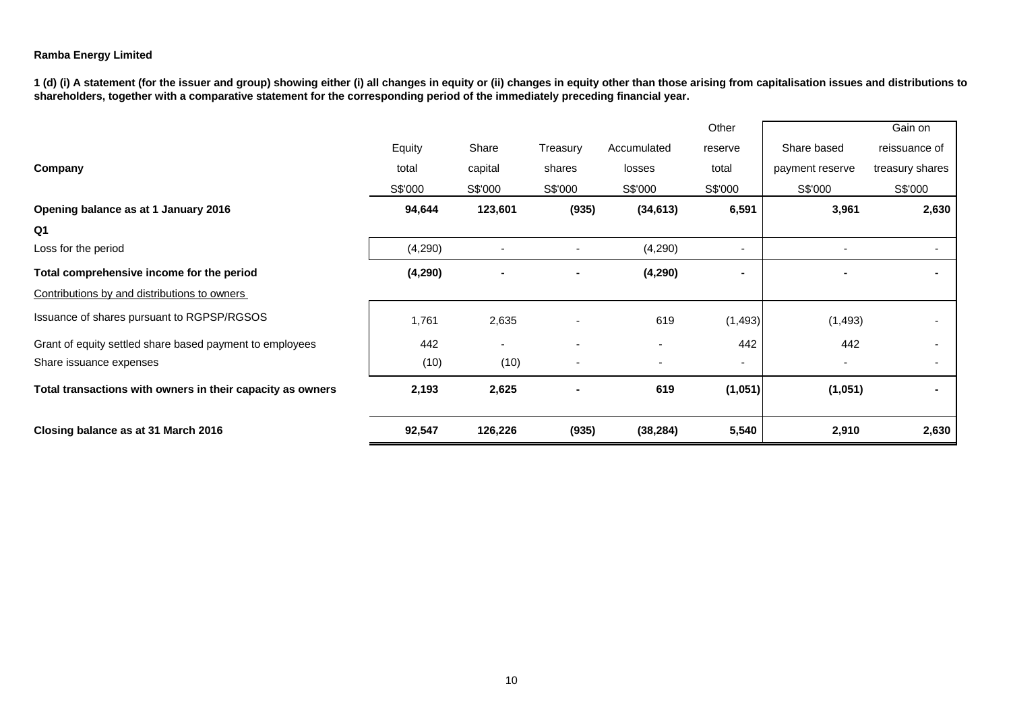**1 (d) (i) A statement (for the issuer and group) showing either (i) all changes in equity or (ii) changes in equity other than those arising from capitalisation issues and distributions to**  shareholders, together with a comparative statement for the corresponding period of the immediately preceding financial year.

|                                                            |          |         |          |             | Other                    |                 | Gain on         |
|------------------------------------------------------------|----------|---------|----------|-------------|--------------------------|-----------------|-----------------|
|                                                            | Equity   | Share   | Treasury | Accumulated | reserve                  | Share based     | reissuance of   |
| Company                                                    | total    | capital | shares   | losses      | total                    | payment reserve | treasury shares |
|                                                            | S\$'000  | S\$'000 | S\$'000  | S\$'000     | S\$'000                  | S\$'000         | S\$'000         |
| Opening balance as at 1 January 2016                       | 94,644   | 123,601 | (935)    | (34, 613)   | 6,591                    | 3,961           | 2,630           |
| Q <sub>1</sub>                                             |          |         |          |             |                          |                 |                 |
| Loss for the period                                        | (4,290)  |         |          | (4,290)     | $\overline{\phantom{a}}$ |                 |                 |
| Total comprehensive income for the period                  | (4, 290) |         |          | (4, 290)    | -                        |                 |                 |
| Contributions by and distributions to owners               |          |         |          |             |                          |                 |                 |
| Issuance of shares pursuant to RGPSP/RGSOS                 | 1,761    | 2,635   |          | 619         | (1, 493)                 | (1, 493)        |                 |
| Grant of equity settled share based payment to employees   | 442      |         |          |             | 442                      | 442             |                 |
| Share issuance expenses                                    | (10)     | (10)    |          |             | ۰                        |                 |                 |
| Total transactions with owners in their capacity as owners | 2,193    | 2,625   |          | 619         | (1,051)                  | (1,051)         |                 |
| Closing balance as at 31 March 2016                        | 92,547   | 126,226 | (935)    | (38, 284)   | 5,540                    | 2,910           | 2,630           |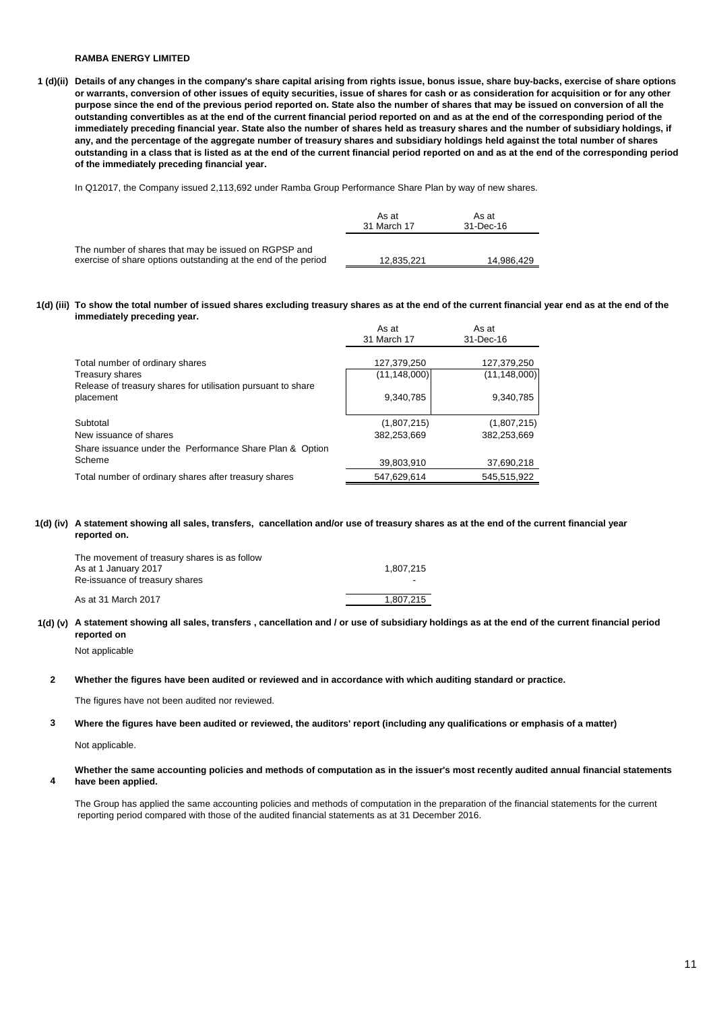**1 (d)(ii) Details of any changes in the company's share capital arising from rights issue, bonus issue, share buy-backs, exercise of share options or warrants, conversion of other issues of equity securities, issue of shares for cash or as consideration for acquisition or for any other purpose since the end of the previous period reported on. State also the number of shares that may be issued on conversion of all the outstanding convertibles as at the end of the current financial period reported on and as at the end of the corresponding period of the immediately preceding financial year. State also the number of shares held as treasury shares and the number of subsidiary holdings, if any, and the percentage of the aggregate number of treasury shares and subsidiary holdings held against the total number of shares outstanding in a class that is listed as at the end of the current financial period reported on and as at the end of the corresponding period of the immediately preceding financial year.**

In Q12017, the Company issued 2,113,692 under Ramba Group Performance Share Plan by way of new shares.

|                                                                                                                        | As at<br>31 March 17 | As at<br>31-Dec-16 |
|------------------------------------------------------------------------------------------------------------------------|----------------------|--------------------|
| The number of shares that may be issued on RGPSP and<br>exercise of share options outstanding at the end of the period | 12.835.221           | 14.986.429         |

**1(d) (iii) To show the total number of issued shares excluding treasury shares as at the end of the current financial year end as at the end of the immediately preceding year.** 

|                                                                           | As at<br>31 March 17          | As at<br>31-Dec-16            |
|---------------------------------------------------------------------------|-------------------------------|-------------------------------|
| Total number of ordinary shares<br>Treasury shares                        | 127,379,250<br>(11, 148, 000) | 127,379,250<br>(11, 148, 000) |
| Release of treasury shares for utilisation pursuant to share<br>placement | 9,340,785                     | 9,340,785                     |
| Subtotal                                                                  | (1,807,215)                   | (1,807,215)                   |
| New issuance of shares                                                    | 382,253,669                   | 382,253,669                   |
| Share issuance under the Performance Share Plan & Option                  |                               |                               |
| Scheme                                                                    | 39,803,910                    | 37.690.218                    |
| Total number of ordinary shares after treasury shares                     | 547,629,614                   | 545.515.922                   |

#### **1(d) (iv) A statement showing all sales, transfers, cancellation and/or use of treasury shares as at the end of the current financial year reported on.**

| The movement of treasury shares is as follow |           |
|----------------------------------------------|-----------|
| As at 1 January 2017                         | 1.807.215 |
| Re-issuance of treasury shares               |           |
| As at 31 March 2017                          | 1.807.215 |

#### **1(d) (v) A statement showing all sales, transfers , cancellation and / or use of subsidiary holdings as at the end of the current financial period reported on**

Not applicable

#### **2 Whether the figures have been audited or reviewed and in accordance with which auditing standard or practice.**

The figures have not been audited nor reviewed.

#### **3 Where the figures have been audited or reviewed, the auditors' report (including any qualifications or emphasis of a matter)**

Not applicable.

**4**

#### **Whether the same accounting policies and methods of computation as in the issuer's most recently audited annual financial statements have been applied.**

The Group has applied the same accounting policies and methods of computation in the preparation of the financial statements for the current reporting period compared with those of the audited financial statements as at 31 December 2016.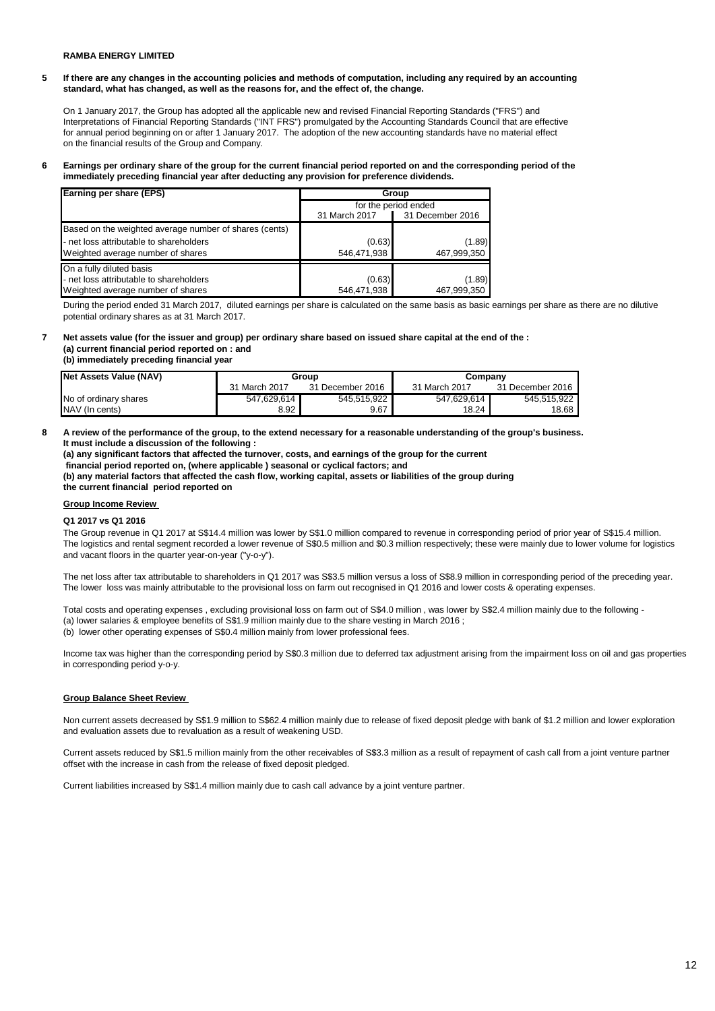**5 If there are any changes in the accounting policies and methods of computation, including any required by an accounting standard, what has changed, as well as the reasons for, and the effect of, the change.**

On 1 January 2017, the Group has adopted all the applicable new and revised Financial Reporting Standards ("FRS") and Interpretations of Financial Reporting Standards ("INT FRS") promulgated by the Accounting Standards Council that are effective for annual period beginning on or after 1 January 2017. The adoption of the new accounting standards have no material effect on the financial results of the Group and Company.

#### **6 Earnings per ordinary share of the group for the current financial period reported on and the corresponding period of the immediately preceding financial year after deducting any provision for preference dividends.**

| Earning per share (EPS)                                | Group                |                  |  |
|--------------------------------------------------------|----------------------|------------------|--|
|                                                        | for the period ended |                  |  |
|                                                        | 31 March 2017        | 31 December 2016 |  |
| Based on the weighted average number of shares (cents) |                      |                  |  |
| - net loss attributable to shareholders                | (0.63)               | (1.89)           |  |
| Weighted average number of shares                      | 546,471,938          | 467,999,350      |  |
| On a fully diluted basis                               |                      |                  |  |
| - net loss attributable to shareholders                | (0.63)               | (1.89)           |  |
| Weighted average number of shares                      | 546,471,938          | 467,999,350      |  |

During the period ended 31 March 2017, diluted earnings per share is calculated on the same basis as basic earnings per share as there are no dilutive potential ordinary shares as at 31 March 2017.

#### **7 Net assets value (for the issuer and group) per ordinary share based on issued share capital at the end of the : (a) current financial period reported on : and**

**(b) immediately preceding financial year** 

| Net Assets Value (NAV) | Group         |                  | Company       |                  |
|------------------------|---------------|------------------|---------------|------------------|
|                        | 31 March 2017 | 31 December 2016 | 31 March 2017 | 31 December 2016 |
| No of ordinary shares  | 547.629.614   | 545.515.922      | 547.629.614   | 545.515.922      |
| NAV (In cents)         | 8.92          | 9.67             | 18.24         | 18.68            |

**8 A review of the performance of the group, to the extend necessary for a reasonable understanding of the group's business. It must include a discussion of the following :** 

**(a) any significant factors that affected the turnover, costs, and earnings of the group for the current**

 **financial period reported on, (where applicable ) seasonal or cyclical factors; and**

**(b) any material factors that affected the cash flow, working capital, assets or liabilities of the group during the current financial period reported on** 

#### **Group Income Review**

#### **Q1 2017 vs Q1 2016**

The Group revenue in Q1 2017 at S\$14.4 million was lower by S\$1.0 million compared to revenue in corresponding period of prior year of S\$15.4 million. The logistics and rental segment recorded a lower revenue of S\$0.5 million and \$0.3 million respectively; these were mainly due to lower volume for logistics and vacant floors in the quarter year-on-year ("y-o-y").

The net loss after tax attributable to shareholders in Q1 2017 was S\$3.5 million versus a loss of S\$8.9 million in corresponding period of the preceding year. The lower loss was mainly attributable to the provisional loss on farm out recognised in Q1 2016 and lower costs & operating expenses.

Total costs and operating expenses , excluding provisional loss on farm out of S\$4.0 million , was lower by S\$2.4 million mainly due to the following - (a) lower salaries & employee benefits of S\$1.9 million mainly due to the share vesting in March 2016 ; (b) lower other operating expenses of S\$0.4 million mainly from lower professional fees.

Income tax was higher than the corresponding period by S\$0.3 million due to deferred tax adjustment arising from the impairment loss on oil and gas properties in corresponding period y-o-y.

#### **Group Balance Sheet Review**

Non current assets decreased by S\$1.9 million to S\$62.4 million mainly due to release of fixed deposit pledge with bank of \$1.2 million and lower exploration and evaluation assets due to revaluation as a result of weakening USD.

Current assets reduced by S\$1.5 million mainly from the other receivables of S\$3.3 million as a result of repayment of cash call from a joint venture partner offset with the increase in cash from the release of fixed deposit pledged.

Current liabilities increased by S\$1.4 million mainly due to cash call advance by a joint venture partner.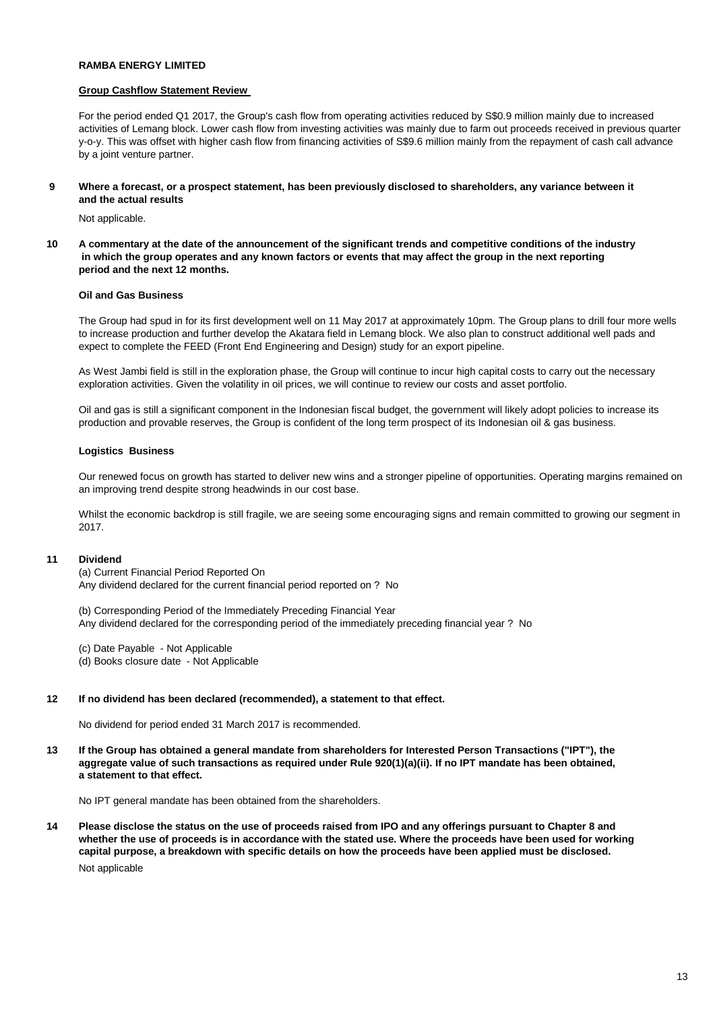#### **Group Cashflow Statement Review**

For the period ended Q1 2017, the Group's cash flow from operating activities reduced by S\$0.9 million mainly due to increased activities of Lemang block. Lower cash flow from investing activities was mainly due to farm out proceeds received in previous quarter y-o-y. This was offset with higher cash flow from financing activities of S\$9.6 million mainly from the repayment of cash call advance by a joint venture partner.

**9 Where a forecast, or a prospect statement, has been previously disclosed to shareholders, any variance between it and the actual results** 

Not applicable.

**10 A commentary at the date of the announcement of the significant trends and competitive conditions of the industry in which the group operates and any known factors or events that may affect the group in the next reporting period and the next 12 months.** 

### **Oil and Gas Business**

The Group had spud in for its first development well on 11 May 2017 at approximately 10pm. The Group plans to drill four more wells to increase production and further develop the Akatara field in Lemang block. We also plan to construct additional well pads and expect to complete the FEED (Front End Engineering and Design) study for an export pipeline.

As West Jambi field is still in the exploration phase, the Group will continue to incur high capital costs to carry out the necessary exploration activities. Given the volatility in oil prices, we will continue to review our costs and asset portfolio.

Oil and gas is still a significant component in the Indonesian fiscal budget, the government will likely adopt policies to increase its production and provable reserves, the Group is confident of the long term prospect of its Indonesian oil & gas business.

#### **Logistics Business**

Our renewed focus on growth has started to deliver new wins and a stronger pipeline of opportunities. Operating margins remained on an improving trend despite strong headwinds in our cost base.

Whilst the economic backdrop is still fragile, we are seeing some encouraging signs and remain committed to growing our segment in 2017.

#### **11 Dividend**

(a) Current Financial Period Reported On Any dividend declared for the current financial period reported on ? No

(b) Corresponding Period of the Immediately Preceding Financial Year Any dividend declared for the corresponding period of the immediately preceding financial year ? No

(c) Date Payable - Not Applicable (d) Books closure date - Not Applicable

#### **12 If no dividend has been declared (recommended), a statement to that effect.**

No dividend for period ended 31 March 2017 is recommended.

**13 If the Group has obtained a general mandate from shareholders for Interested Person Transactions ("IPT"), the aggregate value of such transactions as required under Rule 920(1)(a)(ii). If no IPT mandate has been obtained, a statement to that effect.** 

No IPT general mandate has been obtained from the shareholders.

**14 Please disclose the status on the use of proceeds raised from IPO and any offerings pursuant to Chapter 8 and whether the use of proceeds is in accordance with the stated use. Where the proceeds have been used for working capital purpose, a breakdown with specific details on how the proceeds have been applied must be disclosed.**  Not applicable